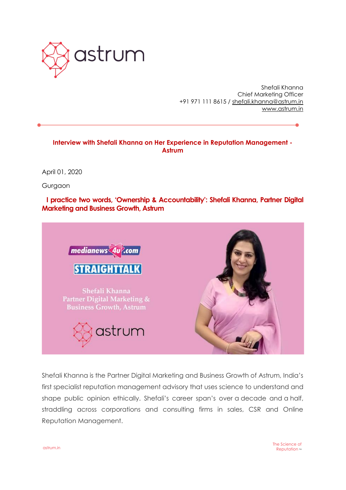

Shefali Khanna Chief Marketing Officer +91 971 111 8615 / [shefali.khanna@astrum.in](mailto:shefali.khanna@astrum.in) [www.astrum.in](http://www.astrum.in/)

# **Interview with Shefali Khanna on Her Experience in Reputation Management - Astrum**

April 01, 2020

Gurgaon

**I practice two words, 'Ownership & Accountability': Shefali Khanna, Partner Digital Marketing and Business Growth, Astrum**





Shefali Khanna Partner Digital Marketing & **Business Growth, Astrum** 





Shefali Khanna is the Partner Digital Marketing and Business Growth of Astrum, India's first specialist reputation management advisory that uses science to understand and shape public opinion ethically. Shefali's career span's over a decade and a half, straddling across corporations and consulting firms in sales, CSR and Online Reputation Management.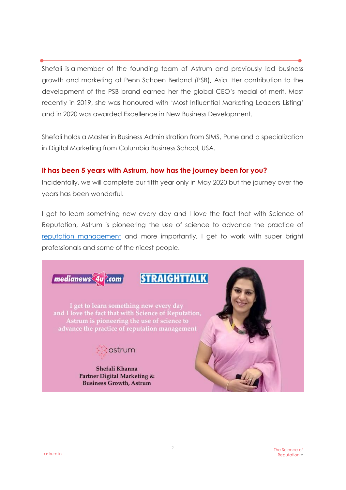Shefali is a member of the founding team of Astrum and previously led business growth and marketing at Penn Schoen Berland (PSB), Asia. Her contribution to the development of the PSB brand earned her the global CEO's medal of merit. Most recently in 2019, she was honoured with 'Most Influential Marketing Leaders Listing' and in 2020 was awarded Excellence in New Business Development.

Shefali holds a Master in Business Administration from SIMS, Pune and a specialization in Digital Marketing from Columbia Business School, USA.

# **It has been 5 years with Astrum, how has the journey been for you?**

Incidentally, we will complete our fifth year only in May 2020 but the journey over the years has been wonderful.

I get to learn something new every day and I love the fact that with Science of Reputation, Astrum is pioneering the use of science to advance the practice of [reputation management](https://www.astrum.in/) and more importantly, I get to work with super bright professionals and some of the nicest people.

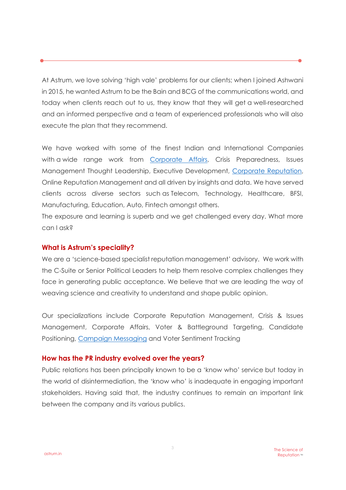At Astrum, we love solving 'high vale' problems for our clients; when I joined Ashwani in 2015, he wanted Astrum to be the Bain and BCG of the communications world, and today when clients reach out to us, they know that they will get a well-researched and an informed perspective and a team of experienced professionals who will also execute the plan that they recommend.

We have worked with some of the finest Indian and International Companies with a wide range work from [Corporate Affairs,](https://www.astrum.in/what-we-do/politics-government/corporate-affairs/) Crisis Preparedness, Issues Management Thought Leadership, Executive Development, [Corporate Reputation,](https://www.astrum.in/what-we-do/reputation-management/corporate-reputation-strategy/) Online Reputation Management and all driven by insights and data. We have served clients across diverse sectors such as Telecom, Technology, Healthcare, BFSI, Manufacturing, Education, Auto, Fintech amongst others.

The exposure and learning is superb and we get challenged every day. What more can I ask?

### **What is Astrum's speciality?**

We are a 'science-based specialist reputation management' advisory. We work with the C-Suite or Senior Political Leaders to help them resolve complex challenges they face in generating public acceptance. We believe that we are leading the way of weaving science and creativity to understand and shape public opinion.

Our specializations include Corporate Reputation Management, Crisis & Issues Management, Corporate Affairs, Voter & Battleground Targeting, Candidate Positioning, [Campaign Messaging](https://www.astrum.in/what-we-do/politics-government/election-campaign-strategy/) and Voter Sentiment Tracking

### **How has the PR industry evolved over the years?**

Public relations has been principally known to be a 'know who' service but today in the world of disintermediation, the 'know who' is inadequate in engaging important stakeholders. Having said that, the industry continues to remain an important link between the company and its various publics.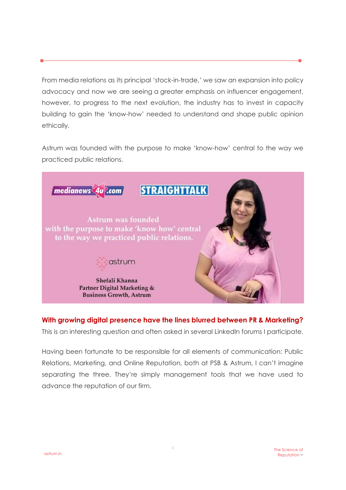From media relations as its principal 'stock-in-trade,' we saw an expansion into policy advocacy and now we are seeing a greater emphasis on influencer engagement, however, to progress to the next evolution, the industry has to invest in capacity building to gain the 'know-how' needed to understand and shape public opinion ethically.

Astrum was founded with the purpose to make 'know-how' central to the way we practiced public relations.



# **With growing digital presence have the lines blurred between PR & Marketing?**

This is an interesting question and often asked in several LinkedIn forums I participate.

Having been fortunate to be responsible for all elements of communication: Public Relations, Marketing, and Online Reputation, both at PSB & Astrum, I can't imagine separating the three. They're simply management tools that we have used to advance the reputation of our firm.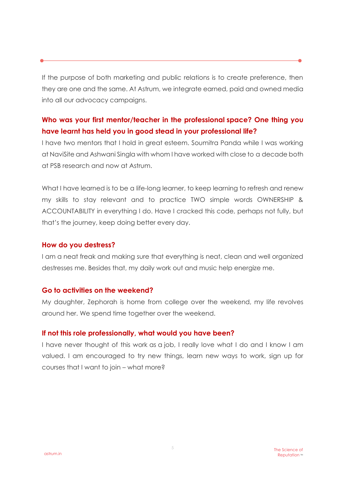If the purpose of both marketing and public relations is to create preference, then they are one and the same. At Astrum, we integrate earned, paid and owned media into all our advocacy campaigns.

# **Who was your first mentor/teacher in the professional space? One thing you have learnt has held you in good stead in your professional life?**

I have two mentors that I hold in great esteem. Soumitra Panda while I was working at NaviSite and Ashwani Singla with whom I have worked with close to a decade both at PSB research and now at Astrum.

What I have learned is to be a life-long learner, to keep learning to refresh and renew my skills to stay relevant and to practice TWO simple words OWNERSHIP & ACCOUNTABILITY in everything I do. Have I cracked this code, perhaps not fully, but that's the journey, keep doing better every day.

#### **How do you destress?**

I am a neat freak and making sure that everything is neat, clean and well organized destresses me. Besides that, my daily work out and music help energize me.

### **Go to activities on the weekend?**

My daughter, Zephorah is home from college over the weekend, my life revolves around her. We spend time together over the weekend.

#### **If not this role professionally, what would you have been?**

I have never thought of this work as a job, I really love what I do and I know I am valued. I am encouraged to try new things, learn new ways to work, sign up for courses that I want to join – what more?